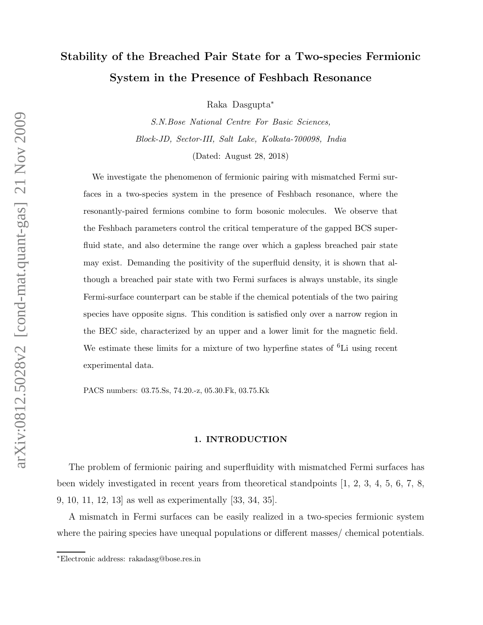# Stability of the Breached Pair State for a Two-species Fermionic System in the Presence of Feshbach Resonance

Raka Dasgupta<sup>∗</sup>

S.N.Bose National Centre For Basic Sciences, Block-JD, Sector-III, Salt Lake, Kolkata-700098, India

(Dated: August 28, 2018)

We investigate the phenomenon of fermionic pairing with mismatched Fermi surfaces in a two-species system in the presence of Feshbach resonance, where the resonantly-paired fermions combine to form bosonic molecules. We observe that the Feshbach parameters control the critical temperature of the gapped BCS superfluid state, and also determine the range over which a gapless breached pair state may exist. Demanding the positivity of the superfluid density, it is shown that although a breached pair state with two Fermi surfaces is always unstable, its single Fermi-surface counterpart can be stable if the chemical potentials of the two pairing species have opposite signs. This condition is satisfied only over a narrow region in the BEC side, characterized by an upper and a lower limit for the magnetic field. We estimate these limits for a mixture of two hyperfine states of  ${}^{6}$ Li using recent experimental data.

PACS numbers: 03.75.Ss, 74.20.-z, 05.30.Fk, 03.75.Kk

#### 1. INTRODUCTION

The problem of fermionic pairing and superfluidity with mismatched Fermi surfaces has been widely investigated in recent years from theoretical standpoints [1, 2, 3, 4, 5, 6, 7, 8, 9, 10, 11, 12, 13] as well as experimentally [33, 34, 35].

A mismatch in Fermi surfaces can be easily realized in a two-species fermionic system where the pairing species have unequal populations or different masses/ chemical potentials.

<sup>∗</sup>Electronic address: rakadasg@bose.res.in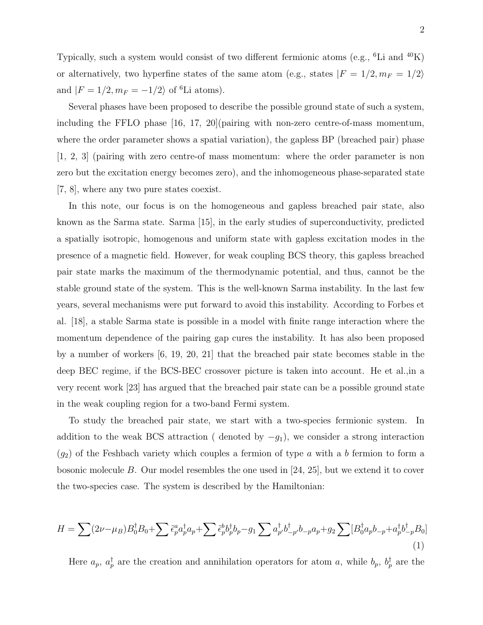Typically, such a system would consist of two different fermionic atoms (e.g., <sup>6</sup>Li and <sup>40</sup>K) or alternatively, two hyperfine states of the same atom (e.g., states  $|F\,=\,1/2,m_F\,=\,1/2\rangle$ and  $|F = 1/2, m_F = -1/2$  of <sup>6</sup>Li atoms).

Several phases have been proposed to describe the possible ground state of such a system, including the FFLO phase [16, 17, 20](pairing with non-zero centre-of-mass momentum, where the order parameter shows a spatial variation), the gapless BP (breached pair) phase [1, 2, 3] (pairing with zero centre-of mass momentum: where the order parameter is non zero but the excitation energy becomes zero), and the inhomogeneous phase-separated state [7, 8], where any two pure states coexist.

In this note, our focus is on the homogeneous and gapless breached pair state, also known as the Sarma state. Sarma [15], in the early studies of superconductivity, predicted a spatially isotropic, homogenous and uniform state with gapless excitation modes in the presence of a magnetic field. However, for weak coupling BCS theory, this gapless breached pair state marks the maximum of the thermodynamic potential, and thus, cannot be the stable ground state of the system. This is the well-known Sarma instability. In the last few years, several mechanisms were put forward to avoid this instability. According to Forbes et al. [18], a stable Sarma state is possible in a model with finite range interaction where the momentum dependence of the pairing gap cures the instability. It has also been proposed by a number of workers [6, 19, 20, 21] that the breached pair state becomes stable in the deep BEC regime, if the BCS-BEC crossover picture is taken into account. He et al.,in a very recent work [23] has argued that the breached pair state can be a possible ground state in the weak coupling region for a two-band Fermi system.

To study the breached pair state, we start with a two-species fermionic system. In addition to the weak BCS attraction ( denoted by  $-g_1$ ), we consider a strong interaction  $(g_2)$  of the Feshbach variety which couples a fermion of type a with a b fermion to form a bosonic molecule B. Our model resembles the one used in [24, 25], but we extend it to cover the two-species case. The system is described by the Hamiltonian:

$$
H = \sum (2\nu - \mu_B) B_0^{\dagger} B_0 + \sum \tilde{\epsilon}_p^a a_p^{\dagger} a_p + \sum \tilde{\epsilon}_p^b b_p^{\dagger} b_p - g_1 \sum a_p^{\dagger} b_{-p}^{\dagger} b_{-p} a_p + g_2 \sum [B_0^{\dagger} a_p b_{-p} + a_p^{\dagger} b_{-p}^{\dagger} B_0]
$$
\n(1)

Here  $a_p$ ,  $a_p^{\dagger}$  are the creation and annihilation operators for atom a, while  $b_p$ ,  $b_p^{\dagger}$  are the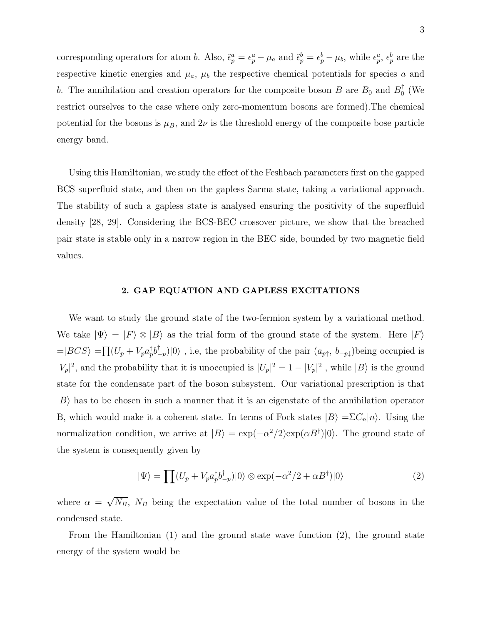corresponding operators for atom b. Also,  $\tilde{\epsilon}_p^a = \epsilon_p^a - \mu_a$  and  $\tilde{\epsilon}_p^b = \epsilon_p^b - \mu_b$ , while  $\epsilon_p^a$ ,  $\epsilon_p^b$  are the respective kinetic energies and  $\mu_a$ ,  $\mu_b$  the respective chemical potentials for species a and b. The annihilation and creation operators for the composite boson B are  $B_0$  and  $B_0^{\dagger}$  (We restrict ourselves to the case where only zero-momentum bosons are formed).The chemical potential for the bosons is  $\mu_B$ , and  $2\nu$  is the threshold energy of the composite bose particle energy band.

Using this Hamiltonian, we study the effect of the Feshbach parameters first on the gapped BCS superfluid state, and then on the gapless Sarma state, taking a variational approach. The stability of such a gapless state is analysed ensuring the positivity of the superfluid density [28, 29]. Considering the BCS-BEC crossover picture, we show that the breached pair state is stable only in a narrow region in the BEC side, bounded by two magnetic field values.

### 2. GAP EQUATION AND GAPLESS EXCITATIONS

We want to study the ground state of the two-fermion system by a variational method. We take  $|\Psi\rangle = |F\rangle \otimes |B\rangle$  as the trial form of the ground state of the system. Here  $|F\rangle$  $=|BCS\rangle = \prod (U_p + V_p a_p^{\dagger} b_{\perp}^{\dagger}$  $\binom{m}{p}$  (0), i.e, the probability of the pair  $(a_{p\uparrow}, b_{-p\downarrow})$  being occupied is  $|V_p|^2$ , and the probability that it is unoccupied is  $|U_p|^2 = 1 - |V_p|^2$ , while  $|B\rangle$  is the ground state for the condensate part of the boson subsystem. Our variational prescription is that  $|B\rangle$  has to be chosen in such a manner that it is an eigenstate of the annihilation operator B, which would make it a coherent state. In terms of Fock states  $|B\rangle = \sum C_n |n\rangle$ . Using the normalization condition, we arrive at  $|B\rangle = \exp(-\alpha^2/2) \exp(\alpha B^{\dagger})|0\rangle$ . The ground state of the system is consequently given by

$$
|\Psi\rangle = \prod (U_p + V_p a_p^{\dagger} b_{-p}^{\dagger}) |0\rangle \otimes \exp(-\alpha^2/2 + \alpha B^{\dagger}) |0\rangle
$$
 (2)

where  $\alpha = \sqrt{N_B}$ ,  $N_B$  being the expectation value of the total number of bosons in the condensed state.

From the Hamiltonian (1) and the ground state wave function (2), the ground state energy of the system would be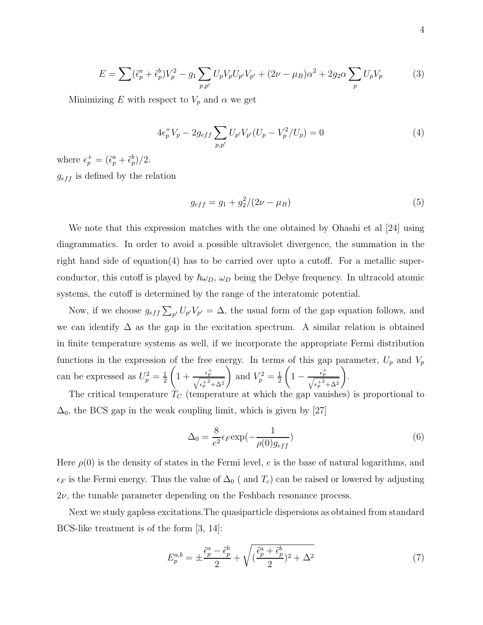$$
E = \sum (\tilde{\epsilon}_p^a + \tilde{\epsilon}_p^b) V_p^2 - g_1 \sum_{p, p'} U_p V_p U_{p'} V_{p'} + (2\nu - \mu_B) \alpha^2 + 2g_2 \alpha \sum_p U_p V_p \tag{3}
$$

Minimizing E with respect to  $V_p$  and  $\alpha$  we get

$$
4\epsilon_p^+ V_p - 2g_{eff} \sum_{p,p'} U_{p'} V_{p'} (U_p - V_p^2 / U_p) = 0
$$
\n(4)

where  $\epsilon_p^+ = (\tilde{\epsilon}_p^a + \tilde{\epsilon}_p^b)/2$ .  $g_{eff}$  is defined by the relation

$$
g_{eff} = g_1 + g_2^2/(2\nu - \mu_B)
$$
\n(5)

We note that this expression matches with the one obtained by Ohashi et al [24] using diagrammatics. In order to avoid a possible ultraviolet divergence, the summation in the right hand side of equation(4) has to be carried over upto a cutoff. For a metallic superconductor, this cutoff is played by  $\hbar\omega_D$ ,  $\omega_D$  being the Debye frequency. In ultracold atomic systems, the cutoff is determined by the range of the interatomic potential.

Now, if we choose  $g_{eff} \sum_{p'} U_{p'} V_{p'} = \Delta$ , the usual form of the gap equation follows, and we can identify  $\Delta$  as the gap in the excitation spectrum. A similar relation is obtained in finite temperature systems as well, if we incorporate the appropriate Fermi distribution functions in the expression of the free energy. In terms of this gap parameter,  $U_p$  and  $V_p$ can be expressed as  $U_p^2 = \frac{1}{2}$ 2  $\left(1+\frac{\epsilon_p^+}{\sqrt{\epsilon_p^{+^2}+\Delta^2}}\right)$ ) and  $V_p^2 = \frac{1}{2}$ 2  $\sqrt{ }$  $1-\frac{\epsilon_p^+}{\sqrt{\epsilon_p^{+2}+\Delta^2}}$  $\setminus$ .

The critical temperature  $T_C$  (temperature at which the gap vanishes) is proportional to  $\Delta_0$ , the BCS gap in the weak coupling limit, which is given by [27]

$$
\Delta_0 = \frac{8}{e^2} \epsilon_F \exp(-\frac{1}{\rho(0)g_{eff}})
$$
\n(6)

Here  $\rho(0)$  is the density of states in the Fermi level, e is the base of natural logarithms, and  $\epsilon_F$  is the Fermi energy. Thus the value of  $\Delta_0$  ( and  $T_c$ ) can be raised or lowered by adjusting  $2\nu$ , the tunable parameter depending on the Feshbach resonance process.

Next we study gapless excitations.The quasiparticle dispersions as obtained from standard BCS-like treatment is of the form [3, 14]:

$$
E_p^{a,b} = \pm \frac{\tilde{\epsilon}_p^a - \tilde{\epsilon}_p^b}{2} + \sqrt{(\frac{\tilde{\epsilon}_p^a + \tilde{\epsilon}_p^b}{2})^2 + \Delta^2}
$$
(7)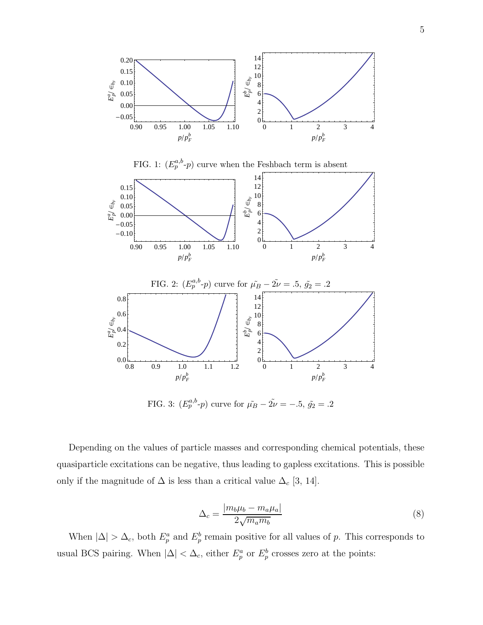

FIG. 3:  $(E_p^{a,b} - p)$  curve for  $\tilde{\mu}_B - 2\tilde{\nu} = -.5, \tilde{g}_2 = .2$ 

Depending on the values of particle masses and corresponding chemical potentials, these quasiparticle excitations can be negative, thus leading to gapless excitations. This is possible only if the magnitude of  $\Delta$  is less than a critical value  $\Delta_c$  [3, 14].

$$
\Delta_c = \frac{|m_b \mu_b - m_a \mu_a|}{2\sqrt{m_a m_b}}\tag{8}
$$

When  $|\Delta| > \Delta_c$ , both  $E_p^a$  and  $E_p^b$  remain positive for all values of p. This corresponds to usual BCS pairing. When  $|\Delta| < \Delta_c$ , either  $E_p^a$  or  $E_p^b$  crosses zero at the points: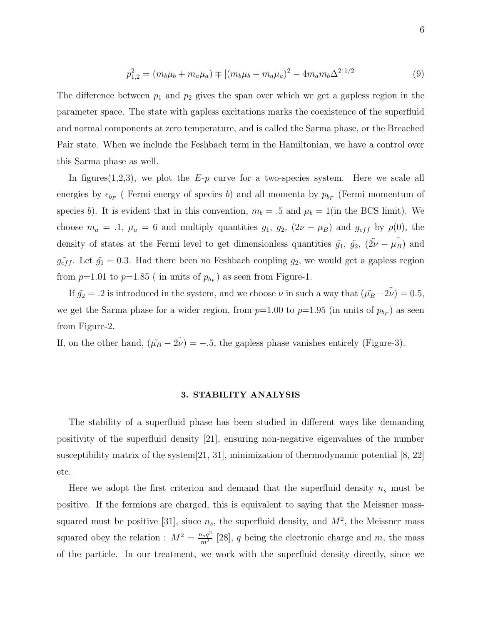$$
p_{1,2}^2 = (m_b \mu_b + m_a \mu_a) \mp [(m_b \mu_b - m_a \mu_a)^2 - 4m_a m_b \Delta^2]^{1/2}
$$
 (9)

The difference between  $p_1$  and  $p_2$  gives the span over which we get a gapless region in the parameter space. The state with gapless excitations marks the coexistence of the superfluid and normal components at zero temperature, and is called the Sarma phase, or the Breached Pair state. When we include the Feshbach term in the Hamiltonian, we have a control over this Sarma phase as well.

In figures  $(1,2,3)$ , we plot the E-p curve for a two-species system. Here we scale all energies by  $\epsilon_{b_F}$  (Fermi energy of species b) and all momenta by  $p_{b_F}$  (Fermi momentum of species b). It is evident that in this convention,  $m_b = .5$  and  $\mu_b = 1$ (in the BCS limit). We choose  $m_a = .1$ ,  $\mu_a = 6$  and multiply quantities  $g_1$ ,  $g_2$ ,  $(2\nu - \mu_B)$  and  $g_{eff}$  by  $\rho(0)$ , the density of states at the Fermi level to get dimensionless quantities  $\tilde{g}_1$ ,  $\tilde{g}_2$ ,  $(\tilde{2\nu} - \mu_B^{\tilde{\nu}})$  and  $g_{eff}^{\sim}$ . Let  $\tilde{g}_1 = 0.3$ . Had there been no Feshbach coupling  $g_2$ , we would get a gapless region from  $p=1.01$  to  $p=1.85$  (in units of  $p_{b_F}$ ) as seen from Figure-1.

If  $\tilde{g}_2 = .2$  is introduced in the system, and we choose  $\nu$  in such a way that  $(\tilde{\mu}_B - 2\tilde{\nu}) = 0.5$ , we get the Sarma phase for a wider region, from  $p=1.00$  to  $p=1.95$  (in units of  $p_{b_F}$ ) as seen from Figure-2.

If, on the other hand,  $(\tilde{\mu_B} - 2\tilde{\nu}) = -.5$ , the gapless phase vanishes entirely (Figure-3).

## 3. STABILITY ANALYSIS

The stability of a superfluid phase has been studied in different ways like demanding positivity of the superfluid density [21], ensuring non-negative eigenvalues of the number susceptibility matrix of the system [21, 31], minimization of thermodynamic potential [8, 22] etc.

Here we adopt the first criterion and demand that the superfluid density  $n_s$  must be positive. If the fermions are charged, this is equivalent to saying that the Meissner masssquared must be positive [31], since  $n_s$ , the superfluid density, and  $M^2$ , the Meissner mass squared obey the relation :  $M^2 = \frac{n_s q^2}{m^2}$  $\frac{q_{sg}q^2}{m^2}$  [28], q being the electronic charge and m, the mass of the particle. In our treatment, we work with the superfluid density directly, since we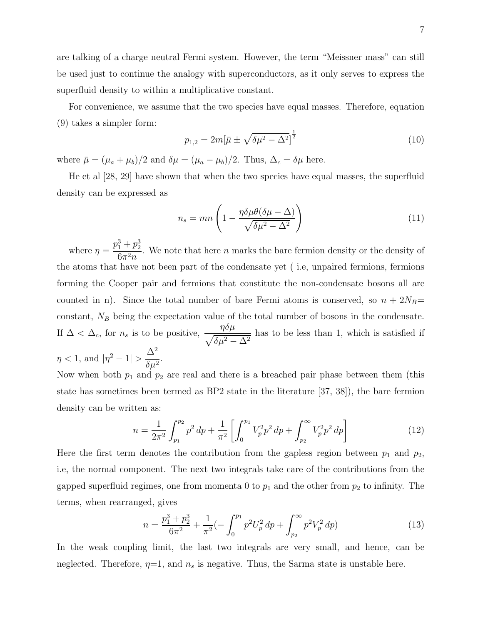are talking of a charge neutral Fermi system. However, the term "Meissner mass" can still be used just to continue the analogy with superconductors, as it only serves to express the superfluid density to within a multiplicative constant.

For convenience, we assume that the two species have equal masses. Therefore, equation (9) takes a simpler form:

$$
p_{1,2} = 2m[\bar{\mu} \pm \sqrt{\delta \mu^2 - \Delta^2}]^{\frac{1}{2}}
$$
\n(10)

where  $\bar{\mu} = (\mu_a + \mu_b)/2$  and  $\delta \mu = (\mu_a - \mu_b)/2$ . Thus,  $\Delta_c = \delta \mu$  here.

He et al [28, 29] have shown that when the two species have equal masses, the superfluid density can be expressed as

$$
n_s = mn \left( 1 - \frac{\eta \delta \mu \theta (\delta \mu - \Delta)}{\sqrt{\delta \mu^2 - \Delta^2}} \right) \tag{11}
$$

where  $\eta =$  $p_1^3+p_2^3$  $\frac{1+p_2}{6\pi^2 n}$ . We note that here *n* marks the bare fermion density or the density of the atoms that have not been part of the condensate yet ( i.e, unpaired fermions, fermions forming the Cooper pair and fermions that constitute the non-condensate bosons all are counted in n). Since the total number of bare Fermi atoms is conserved, so  $n + 2N_B=$ constant,  $N_B$  being the expectation value of the total number of bosons in the condensate. If  $\Delta < \Delta_c$ , for  $n_s$  is to be positive,  $\frac{\eta \delta \mu}{\sqrt{\delta \mu^2 - \Delta^2}}$ has to be less than 1, which is satisfied if  $\eta$  < 1, and  $|\eta^2 - 1|$  >  $\Delta^2$  $rac{1}{\delta\mu^2}$ .

Now when both  $p_1$  and  $p_2$  are real and there is a breached pair phase between them (this state has sometimes been termed as BP2 state in the literature [37, 38]), the bare fermion density can be written as:

$$
n = \frac{1}{2\pi^2} \int_{p_1}^{p_2} p^2 \, dp + \frac{1}{\pi^2} \left[ \int_0^{p_1} V_p^2 p^2 \, dp + \int_{p_2}^{\infty} V_p^2 p^2 \, dp \right] \tag{12}
$$

Here the first term denotes the contribution from the gapless region between  $p_1$  and  $p_2$ , i.e, the normal component. The next two integrals take care of the contributions from the gapped superfluid regimes, one from momenta 0 to  $p_1$  and the other from  $p_2$  to infinity. The terms, when rearranged, gives

$$
n = \frac{p_1^3 + p_2^3}{6\pi^2} + \frac{1}{\pi^2} \left( -\int_0^{p_1} p^2 U_p^2 \, dp + \int_{p_2}^{\infty} p^2 V_p^2 \, dp \right) \tag{13}
$$

In the weak coupling limit, the last two integrals are very small, and hence, can be neglected. Therefore,  $\eta=1$ , and  $n_s$  is negative. Thus, the Sarma state is unstable here.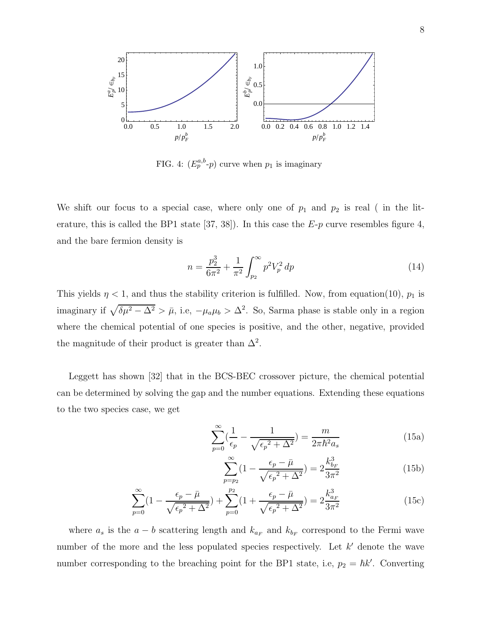

FIG. 4:  $(E_p^{a,b} \text{-} p)$  curve when  $p_1$  is imaginary

We shift our focus to a special case, where only one of  $p_1$  and  $p_2$  is real ( in the literature, this is called the BP1 state [37, 38]). In this case the  $E-p$  curve resembles figure 4, and the bare fermion density is

$$
n = \frac{p_2^3}{6\pi^2} + \frac{1}{\pi^2} \int_{p_2}^{\infty} p^2 V_p^2 \, dp \tag{14}
$$

This yields  $\eta$  < 1, and thus the stability criterion is fulfilled. Now, from equation(10),  $p_1$  is imaginary if  $\sqrt{\delta\mu^2 - \Delta^2} > \bar{\mu}$ , i.e,  $-\mu_a\mu_b > \Delta^2$ . So, Sarma phase is stable only in a region where the chemical potential of one species is positive, and the other, negative, provided the magnitude of their product is greater than  $\Delta^2$ .

Leggett has shown [32] that in the BCS-BEC crossover picture, the chemical potential can be determined by solving the gap and the number equations. Extending these equations to the two species case, we get

$$
\sum_{p=0}^{\infty} \left(\frac{1}{\epsilon_p} - \frac{1}{\sqrt{\epsilon_p^2 + \Delta^2}}\right) = \frac{m}{2\pi\hbar^2 a_s}
$$
 (15a)

$$
\sum_{p=p_2}^{\infty} (1 - \frac{\epsilon_p - \bar{\mu}}{\sqrt{\epsilon_p^2 + \Delta^2}}) = 2 \frac{k_{b_F}^3}{3\pi^2}
$$
 (15b)

$$
\sum_{p=0}^{\infty} \left(1 - \frac{\epsilon_p - \bar{\mu}}{\sqrt{\epsilon_p^2 + \Delta^2}}\right) + \sum_{p=0}^{p_2} \left(1 + \frac{\epsilon_p - \bar{\mu}}{\sqrt{\epsilon_p^2 + \Delta^2}}\right) = 2\frac{k_{a_F}^3}{3\pi^2}
$$
(15c)

where  $a_s$  is the  $a - b$  scattering length and  $k_{a_F}$  and  $k_{b_F}$  correspond to the Fermi wave number of the more and the less populated species respectively. Let  $k'$  denote the wave number corresponding to the breaching point for the BP1 state, i.e,  $p_2 = \hbar k'$ . Converting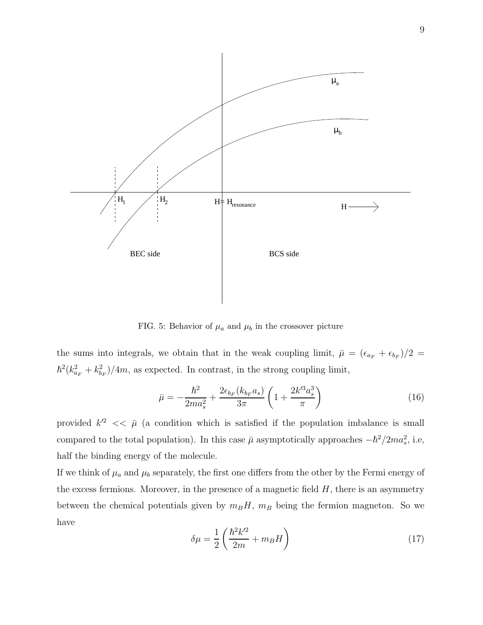

FIG. 5: Behavior of  $\mu_a$  and  $\mu_b$  in the crossover picture

the sums into integrals, we obtain that in the weak coupling limit,  $\bar{\mu} = (\epsilon_{a_F} + \epsilon_{b_F})/2 =$  $\hbar^2 (k_{a_F}^2 + k_b^2$  $\binom{2}{b_F}/4m$ , as expected. In contrast, in the strong coupling limit,

$$
\bar{\mu} = -\frac{\hbar^2}{2ma_s^2} + \frac{2\epsilon_{b_F}(k_{b_F}a_s)}{3\pi} \left(1 + \frac{2k'^3a_s^3}{\pi}\right) \tag{16}
$$

provided  $k'^2 \ll \bar{\mu}$  (a condition which is satisfied if the population imbalance is small compared to the total population). In this case  $\bar{\mu}$  asymptotically approaches  $-\hbar^2/2ma_s^2$ , i.e, half the binding energy of the molecule.

If we think of  $\mu_a$  and  $\mu_b$  separately, the first one differs from the other by the Fermi energy of the excess fermions. Moreover, in the presence of a magnetic field  $H$ , there is an asymmetry between the chemical potentials given by  $m_B H$ ,  $m_B$  being the fermion magneton. So we have

$$
\delta\mu = \frac{1}{2} \left( \frac{\hbar^2 k'^2}{2m} + m_B H \right) \tag{17}
$$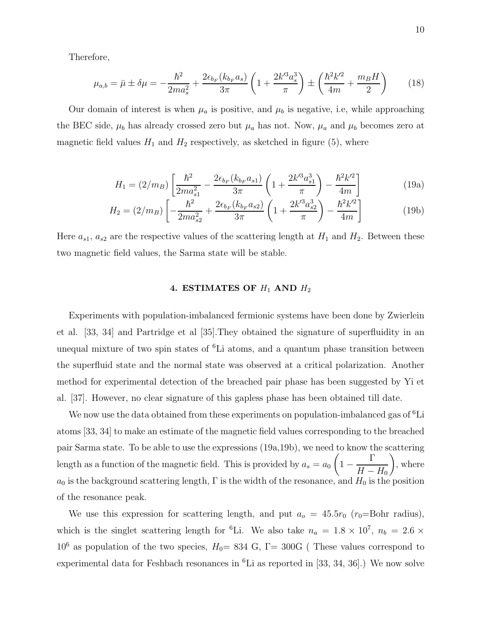Therefore,

$$
\mu_{a,b} = \bar{\mu} \pm \delta\mu = -\frac{\hbar^2}{2ma_s^2} + \frac{2\epsilon_{b_F}(k_{b_F}a_s)}{3\pi} \left(1 + \frac{2k'^3a_s^3}{\pi}\right) \pm \left(\frac{\hbar^2k'^2}{4m} + \frac{m_BH}{2}\right) \tag{18}
$$

Our domain of interest is when  $\mu_a$  is positive, and  $\mu_b$  is negative, i.e, while approaching the BEC side,  $\mu_b$  has already crossed zero but  $\mu_a$  has not. Now,  $\mu_a$  and  $\mu_b$  becomes zero at magnetic field values  $H_1$  and  $H_2$  respectively, as sketched in figure (5), where

$$
H_1 = (2/m_B) \left[ \frac{\hbar^2}{2ma_{s1}^2} - \frac{2\epsilon_{b_F}(k_{b_F}a_{s1})}{3\pi} \left( 1 + \frac{2k'^3a_{s1}^3}{\pi} \right) - \frac{\hbar^2 k'^2}{4m} \right]
$$
(19a)

$$
H_2 = (2/m_B) \left[ -\frac{\hbar^2}{2ma_{s2}^2} + \frac{2\epsilon_{b_F}(k_{b_F}a_{s2})}{3\pi} \left( 1 + \frac{2k'^3a_{s2}^3}{\pi} \right) - \frac{\hbar^2 k'^2}{4m} \right]
$$
(19b)

Here  $a_{s1}, a_{s2}$  are the respective values of the scattering length at  $H_1$  and  $H_2$ . Between these two magnetic field values, the Sarma state will be stable.

# 4. ESTIMATES OF  $H_1$  AND  $H_2$

Experiments with population-imbalanced fermionic systems have been done by Zwierlein et al. [33, 34] and Partridge et al [35].They obtained the signature of superfluidity in an unequal mixture of two spin states of <sup>6</sup>Li atoms, and a quantum phase transition between the superfluid state and the normal state was observed at a critical polarization. Another method for experimental detection of the breached pair phase has been suggested by Yi et al. [37]. However, no clear signature of this gapless phase has been obtained till date.

We now use the data obtained from these experiments on population-imbalanced gas of  ${}^{6}$ Li atoms [33, 34] to make an estimate of the magnetic field values corresponding to the breached pair Sarma state. To be able to use the expressions (19a,19b), we need to know the scattering length as a function of the magnetic field. This is provided by  $a_s = a_0$  $1 -$ Γ  $H-H_0$  $\setminus$ , where  $a_0$  is the background scattering length,  $\Gamma$  is the width of the resonance, and  $H_0$  is the position of the resonance peak.

We use this expression for scattering length, and put  $a_0 = 45.5r_0$  (r<sub>0</sub>=Bohr radius), which is the singlet scattering length for <sup>6</sup>Li. We also take  $n_a = 1.8 \times 10^7$ ,  $n_b = 2.6 \times$  $10^6$  as population of the two species,  $H_0= 834$  G,  $\Gamma= 300$ G (These values correspond to experimental data for Feshbach resonances in  ${}^{6}$ Li as reported in [33, 34, 36].) We now solve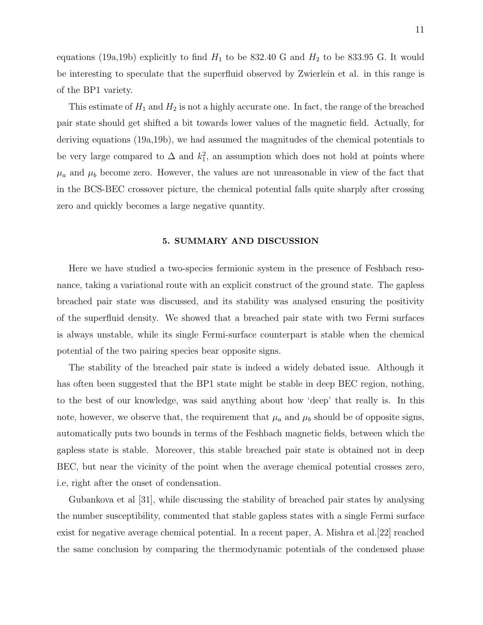equations (19a,19b) explicitly to find  $H_1$  to be 832.40 G and  $H_2$  to be 833.95 G. It would be interesting to speculate that the superfluid observed by Zwierlein et al. in this range is of the BP1 variety.

This estimate of  $H_1$  and  $H_2$  is not a highly accurate one. In fact, the range of the breached pair state should get shifted a bit towards lower values of the magnetic field. Actually, for deriving equations (19a,19b), we had assumed the magnitudes of the chemical potentials to be very large compared to  $\Delta$  and  $k_1^2$ , an assumption which does not hold at points where  $\mu_a$  and  $\mu_b$  become zero. However, the values are not unreasonable in view of the fact that in the BCS-BEC crossover picture, the chemical potential falls quite sharply after crossing zero and quickly becomes a large negative quantity.

#### 5. SUMMARY AND DISCUSSION

Here we have studied a two-species fermionic system in the presence of Feshbach resonance, taking a variational route with an explicit construct of the ground state. The gapless breached pair state was discussed, and its stability was analysed ensuring the positivity of the superfluid density. We showed that a breached pair state with two Fermi surfaces is always unstable, while its single Fermi-surface counterpart is stable when the chemical potential of the two pairing species bear opposite signs.

The stability of the breached pair state is indeed a widely debated issue. Although it has often been suggested that the BP1 state might be stable in deep BEC region, nothing, to the best of our knowledge, was said anything about how 'deep' that really is. In this note, however, we observe that, the requirement that  $\mu_a$  and  $\mu_b$  should be of opposite signs, automatically puts two bounds in terms of the Feshbach magnetic fields, between which the gapless state is stable. Moreover, this stable breached pair state is obtained not in deep BEC, but near the vicinity of the point when the average chemical potential crosses zero, i.e, right after the onset of condensation.

Gubankova et al [31], while discussing the stability of breached pair states by analysing the number susceptibility, commented that stable gapless states with a single Fermi surface exist for negative average chemical potential. In a recent paper, A. Mishra et al.[22] reached the same conclusion by comparing the thermodynamic potentials of the condensed phase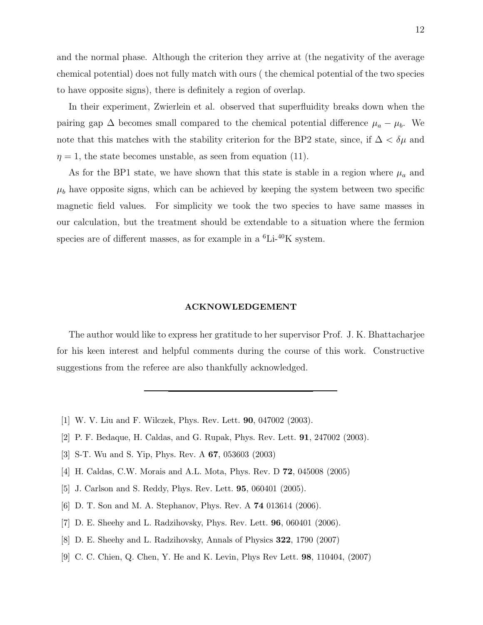and the normal phase. Although the criterion they arrive at (the negativity of the average chemical potential) does not fully match with ours ( the chemical potential of the two species to have opposite signs), there is definitely a region of overlap.

In their experiment, Zwierlein et al. observed that superfluidity breaks down when the pairing gap  $\Delta$  becomes small compared to the chemical potential difference  $\mu_a - \mu_b$ . We note that this matches with the stability criterion for the BP2 state, since, if  $\Delta < \delta \mu$  and  $\eta = 1$ , the state becomes unstable, as seen from equation (11).

As for the BP1 state, we have shown that this state is stable in a region where  $\mu_a$  and  $\mu_b$  have opposite signs, which can be achieved by keeping the system between two specific magnetic field values. For simplicity we took the two species to have same masses in our calculation, but the treatment should be extendable to a situation where the fermion species are of different masses, as for example in a  ${}^{6}$ Li- ${}^{40}$ K system.

#### ACKNOWLEDGEMENT

The author would like to express her gratitude to her supervisor Prof. J. K. Bhattacharjee for his keen interest and helpful comments during the course of this work. Constructive suggestions from the referee are also thankfully acknowledged.

- [1] W. V. Liu and F. Wilczek, Phys. Rev. Lett. 90, 047002 (2003).
- [2] P. F. Bedaque, H. Caldas, and G. Rupak, Phys. Rev. Lett. 91, 247002 (2003).
- [3] S-T. Wu and S. Yip, Phys. Rev. A 67, 053603 (2003)
- [4] H. Caldas, C.W. Morais and A.L. Mota, Phys. Rev. D 72, 045008 (2005)
- [5] J. Carlson and S. Reddy, Phys. Rev. Lett. 95, 060401 (2005).
- [6] D. T. Son and M. A. Stephanov, Phys. Rev. A 74 013614 (2006).
- [7] D. E. Sheehy and L. Radzihovsky, Phys. Rev. Lett. 96, 060401 (2006).
- [8] D. E. Sheehy and L. Radzihovsky, Annals of Physics 322, 1790 (2007)
- [9] C. C. Chien, Q. Chen, Y. He and K. Levin, Phys Rev Lett. 98, 110404, (2007)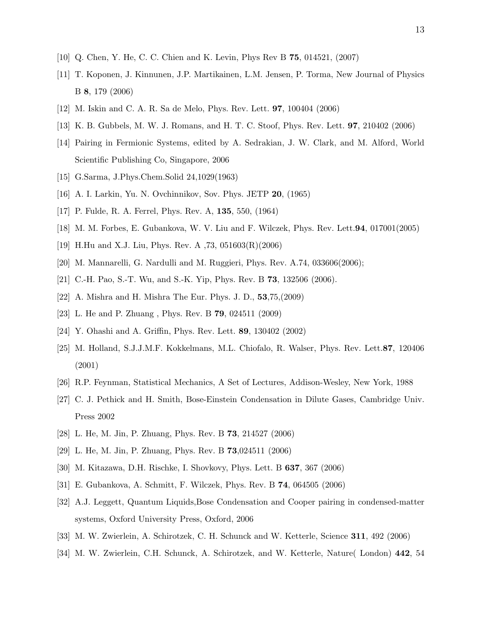- [10] Q. Chen, Y. He, C. C. Chien and K. Levin, Phys Rev B 75, 014521, (2007)
- [11] T. Koponen, J. Kinnunen, J.P. Martikainen, L.M. Jensen, P. Torma, New Journal of Physics B 8, 179 (2006)
- [12] M. Iskin and C. A. R. Sa de Melo, Phys. Rev. Lett. 97, 100404 (2006)
- [13] K. B. Gubbels, M. W. J. Romans, and H. T. C. Stoof, Phys. Rev. Lett. 97, 210402 (2006)
- [14] Pairing in Fermionic Systems, edited by A. Sedrakian, J. W. Clark, and M. Alford, World Scientific Publishing Co, Singapore, 2006
- [15] G.Sarma, J.Phys.Chem.Solid 24,1029(1963)
- [16] A. I. Larkin, Yu. N. Ovchinnikov, Sov. Phys. JETP 20, (1965)
- [17] P. Fulde, R. A. Ferrel, Phys. Rev. A, 135, 550, (1964)
- [18] M. M. Forbes, E. Gubankova, W. V. Liu and F. Wilczek, Phys. Rev. Lett.94, 017001(2005)
- [19] H.Hu and X.J. Liu, Phys. Rev. A ,73, 051603(R)(2006)
- [20] M. Mannarelli, G. Nardulli and M. Ruggieri, Phys. Rev. A.74, 033606(2006);
- [21] C.-H. Pao, S.-T. Wu, and S.-K. Yip, Phys. Rev. B 73, 132506 (2006).
- [22] A. Mishra and H. Mishra The Eur. Phys. J. D., 53,75,(2009)
- [23] L. He and P. Zhuang , Phys. Rev. B 79, 024511 (2009)
- [24] Y. Ohashi and A. Griffin, Phys. Rev. Lett. 89, 130402 (2002)
- [25] M. Holland, S.J.J.M.F. Kokkelmans, M.L. Chiofalo, R. Walser, Phys. Rev. Lett.87, 120406 (2001)
- [26] R.P. Feynman, Statistical Mechanics, A Set of Lectures, Addison-Wesley, New York, 1988
- [27] C. J. Pethick and H. Smith, Bose-Einstein Condensation in Dilute Gases, Cambridge Univ. Press 2002
- [28] L. He, M. Jin, P. Zhuang, Phys. Rev. B 73, 214527 (2006)
- [29] L. He, M. Jin, P. Zhuang, Phys. Rev. B 73,024511 (2006)
- [30] M. Kitazawa, D.H. Rischke, I. Shovkovy, Phys. Lett. B 637, 367 (2006)
- [31] E. Gubankova, A. Schmitt, F. Wilczek, Phys. Rev. B 74, 064505 (2006)
- [32] A.J. Leggett, Quantum Liquids,Bose Condensation and Cooper pairing in condensed-matter systems, Oxford University Press, Oxford, 2006
- [33] M. W. Zwierlein, A. Schirotzek, C. H. Schunck and W. Ketterle, Science 311, 492 (2006)
- [34] M. W. Zwierlein, C.H. Schunck, A. Schirotzek, and W. Ketterle, Nature( London) 442, 54